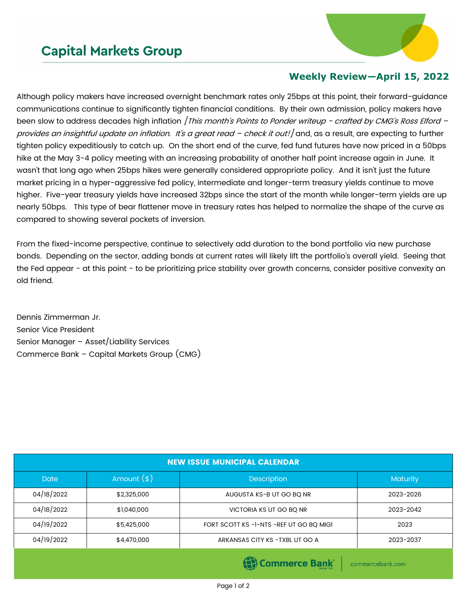## **Capital Markets Group**



## **Weekly Review—April 15, 2022**

Although policy makers have increased overnight benchmark rates only 25bps at this point, their forward-guidance communications continue to significantly tighten financial conditions. By their own admission, policy makers have been slow to address decades high inflation [This month's Points to Ponder writeup - crafted by CMG's Ross Elford provides an insightful update on inflation. It's a great read - check it out!] and, as a result, are expecting to further tighten policy expeditiously to catch up. On the short end of the curve, fed fund futures have now priced in a 50bps hike at the May 3-4 policy meeting with an increasing probability of another half point increase again in June. It wasn't that long ago when 25bps hikes were generally considered appropriate policy. And it isn't just the future market pricing in a hyper-aggressive fed policy, intermediate and longer-term treasury yields continue to move higher. Five-year treasury yields have increased 32bps since the start of the month while longer-term yields are up nearly 50bps. This type of bear flattener move in treasury rates has helped to normalize the shape of the curve as compared to showing several pockets of inversion.

From the fixed-income perspective, continue to selectively add duration to the bond portfolio via new purchase bonds. Depending on the sector, adding bonds at current rates will likely lift the portfolio's overall yield. Seeing that the Fed appear - at this point - to be prioritizing price stability over growth concerns, consider positive convexity an old friend.

Dennis Zimmerman Jr. Senior Vice President Senior Manager – Asset/Liability Services Commerce Bank – Capital Markets Group (CMG)

| <b>NEW ISSUE MUNICIPAL CALENDAR</b> |              |                                         |                 |  |  |  |
|-------------------------------------|--------------|-----------------------------------------|-----------------|--|--|--|
| <b>Date</b>                         | Amount $(*)$ | <b>Description</b>                      | <b>Maturity</b> |  |  |  |
| 04/18/2022                          | \$2,325,000  | AUGUSTA KS-B UT GO BO NR                | 2023-2026       |  |  |  |
| 04/18/2022                          | \$1,040,000  | VICTORIA KS UT GO BQ NR                 | 2023-2042       |  |  |  |
| 04/19/2022                          | \$5,425,000  | FORT SCOTT KS -1-NTS -REF UT GO BQ MIGI | 2023            |  |  |  |
| 04/19/2022                          | \$4,470,000  | ARKANSAS CITY KS - TXBL UT GO A         | 2023-2037       |  |  |  |
|                                     |              |                                         |                 |  |  |  |

(E) Commerce Bank

commercebank.com